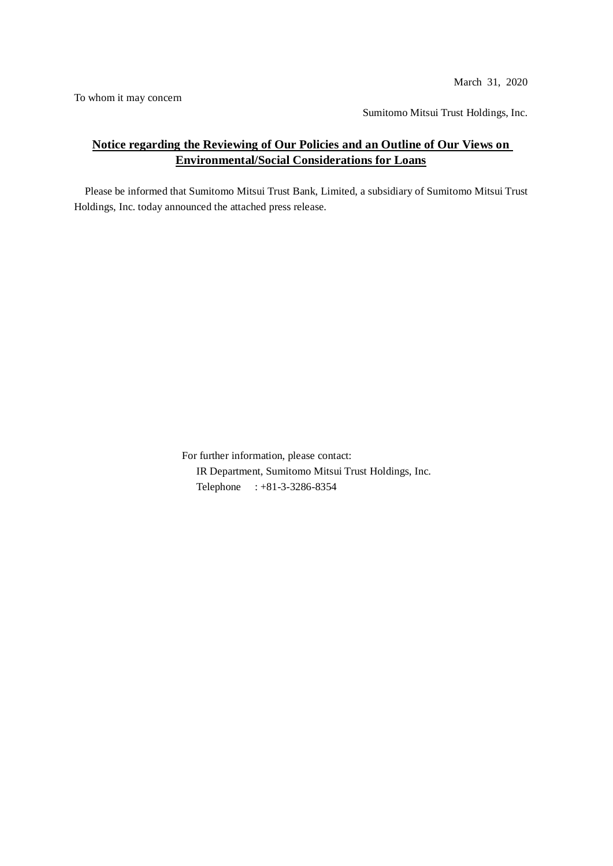To whom it may concern

Sumitomo Mitsui Trust Holdings, Inc.

## **Notice regarding the Reviewing of Our Policies and an Outline of Our Views on Environmental/Social Considerations for Loans**

Please be informed that Sumitomo Mitsui Trust Bank, Limited, a subsidiary of Sumitomo Mitsui Trust Holdings, Inc. today announced the attached press release.

> For further information, please contact: IR Department, Sumitomo Mitsui Trust Holdings, Inc. Telephone : +81-3-3286-8354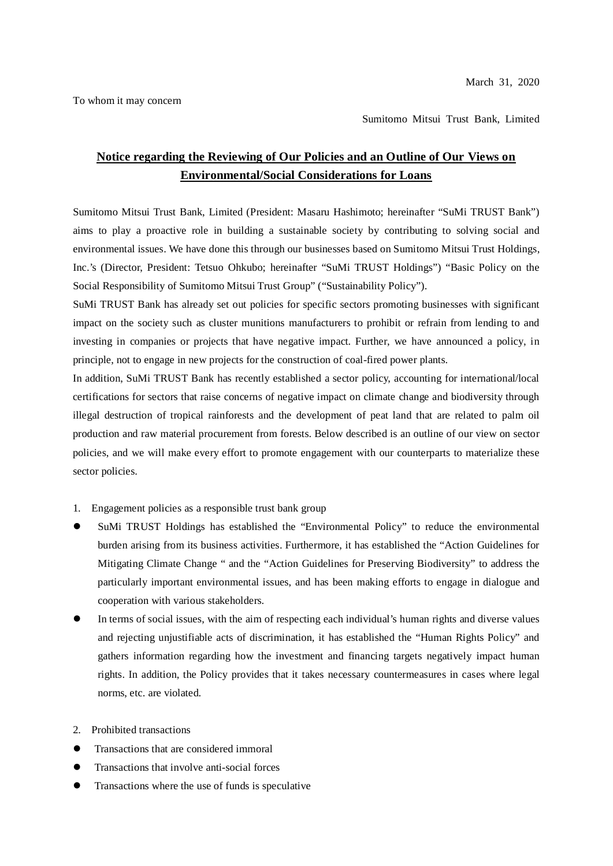Sumitomo Mitsui Trust Bank, Limited

# **Notice regarding the Reviewing of Our Policies and an Outline of Our Views on Environmental/Social Considerations for Loans**

Sumitomo Mitsui Trust Bank, Limited (President: Masaru Hashimoto; hereinafter "SuMi TRUST Bank") aims to play a proactive role in building a sustainable society by contributing to solving social and environmental issues. We have done this through our businesses based on Sumitomo Mitsui Trust Holdings, Inc.'s (Director, President: Tetsuo Ohkubo; hereinafter "SuMi TRUST Holdings") "Basic Policy on the Social Responsibility of Sumitomo Mitsui Trust Group" ("Sustainability Policy").

SuMi TRUST Bank has already set out policies for specific sectors promoting businesses with significant impact on the society such as cluster munitions manufacturers to prohibit or refrain from lending to and investing in companies or projects that have negative impact. Further, we have announced a policy, in principle, not to engage in new projects for the construction of coal-fired power plants.

In addition, SuMi TRUST Bank has recently established a sector policy, accounting for international/local certifications for sectors that raise concerns of negative impact on climate change and biodiversity through illegal destruction of tropical rainforests and the development of peat land that are related to palm oil production and raw material procurement from forests. Below described is an outline of our view on sector policies, and we will make every effort to promote engagement with our counterparts to materialize these sector policies.

- 1. Engagement policies as a responsible trust bank group
- SuMi TRUST Holdings has established the "Environmental Policy" to reduce the environmental burden arising from its business activities. Furthermore, it has established the "Action Guidelines for Mitigating Climate Change " and the "Action Guidelines for Preserving Biodiversity" to address the particularly important environmental issues, and has been making efforts to engage in dialogue and cooperation with various stakeholders.
- In terms of social issues, with the aim of respecting each individual's human rights and diverse values and rejecting unjustifiable acts of discrimination, it has established the "Human Rights Policy" and gathers information regarding how the investment and financing targets negatively impact human rights. In addition, the Policy provides that it takes necessary countermeasures in cases where legal norms, etc. are violated.
- 2. Prohibited transactions
- **•** Transactions that are considered immoral
- Transactions that involve anti-social forces
- Transactions where the use of funds is speculative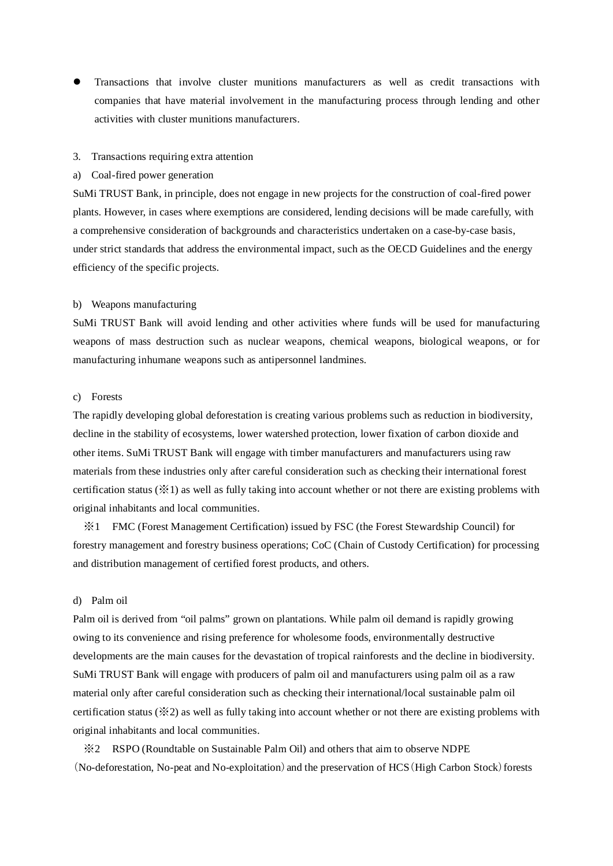- Transactions that involve cluster munitions manufacturers as well as credit transactions with companies that have material involvement in the manufacturing process through lending and other activities with cluster munitions manufacturers.
- 3. Transactions requiring extra attention

a) Coal-fired power generation

SuMi TRUST Bank, in principle, does not engage in new projects for the construction of coal-fired power plants. However, in cases where exemptions are considered, lending decisions will be made carefully, with a comprehensive consideration of backgrounds and characteristics undertaken on a case-by-case basis, under strict standards that address the environmental impact, such as the OECD Guidelines and the energy efficiency of the specific projects.

#### b) Weapons manufacturing

SuMi TRUST Bank will avoid lending and other activities where funds will be used for manufacturing weapons of mass destruction such as nuclear weapons, chemical weapons, biological weapons, or for manufacturing inhumane weapons such as antipersonnel landmines.

#### c) Forests

The rapidly developing global deforestation is creating various problems such as reduction in biodiversity, decline in the stability of ecosystems, lower watershed protection, lower fixation of carbon dioxide and other items. SuMi TRUST Bank will engage with timber manufacturers and manufacturers using raw materials from these industries only after careful consideration such as checking their international forest certification status (※1) as well as fully taking into account whether or not there are existing problems with original inhabitants and local communities.

※1 FMC (Forest Management Certification) issued by FSC (the Forest Stewardship Council) for forestry management and forestry business operations; CoC (Chain of Custody Certification) for processing and distribution management of certified forest products, and others.

### d) Palm oil

Palm oil is derived from "oil palms" grown on plantations. While palm oil demand is rapidly growing owing to its convenience and rising preference for wholesome foods, environmentally destructive developments are the main causes for the devastation of tropical rainforests and the decline in biodiversity. SuMi TRUST Bank will engage with producers of palm oil and manufacturers using palm oil as a raw material only after careful consideration such as checking their international/local sustainable palm oil certification status (※2) as well as fully taking into account whether or not there are existing problems with original inhabitants and local communities.

※2 RSPO (Roundtable on Sustainable Palm Oil) and others that aim to observe NDPE (No-deforestation, No-peat and No-exploitation) and the preservation of HCS (High Carbon Stock) forests